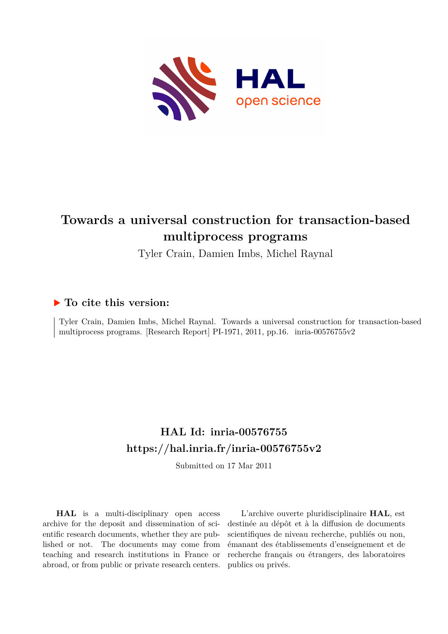

# **Towards a universal construction for transaction-based multiprocess programs**

Tyler Crain, Damien Imbs, Michel Raynal

## **To cite this version:**

Tyler Crain, Damien Imbs, Michel Raynal. Towards a universal construction for transaction-based multiprocess programs. [Research Report] PI-1971, 2011, pp.16. inria-00576755v2

# **HAL Id: inria-00576755 <https://hal.inria.fr/inria-00576755v2>**

Submitted on 17 Mar 2011

**HAL** is a multi-disciplinary open access archive for the deposit and dissemination of scientific research documents, whether they are published or not. The documents may come from teaching and research institutions in France or abroad, or from public or private research centers.

L'archive ouverte pluridisciplinaire **HAL**, est destinée au dépôt et à la diffusion de documents scientifiques de niveau recherche, publiés ou non, émanant des établissements d'enseignement et de recherche français ou étrangers, des laboratoires publics ou privés.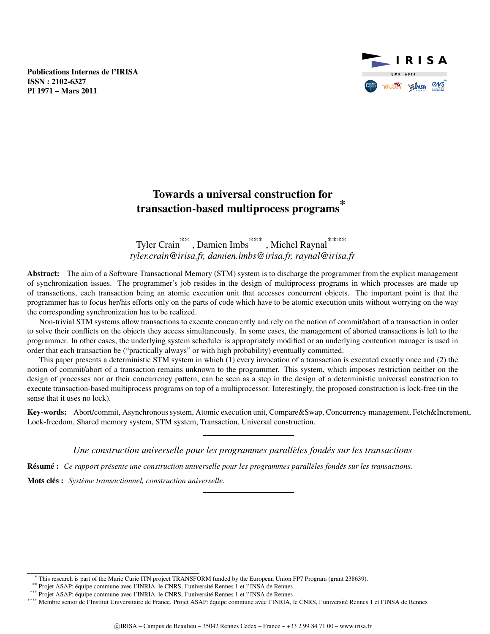Publications Internes de l'IRISA ISSN : 2102-6327 PI 1971 – Mars 2011



## Towards a universal construction for transaction-based multiprocess programs<sup>\*</sup>

Tyler Crain\*\*, Damien Imbs\*\*\*, Michel Raynal\*\*\*\* *tyler.crain@irisa.fr, damien.imbs@irisa.fr, raynal@irisa.fr*

Abstract: The aim of a Software Transactional Memory (STM) system is to discharge the programmer from the explicit management of synchronization issues. The programmer's job resides in the design of multiprocess programs in which processes are made up of transactions, each transaction being an atomic execution unit that accesses concurrent objects. The important point is that the programmer has to focus her/his efforts only on the parts of code which have to be atomic execution units without worrying on the way the corresponding synchronization has to be realized.

Non-trivial STM systems allow transactions to execute concurrently and rely on the notion of commit/abort of a transaction in order to solve their conflicts on the objects they access simultaneously. In some cases, the management of aborted transactions is left to the programmer. In other cases, the underlying system scheduler is appropriately modified or an underlying contention manager is used in order that each transaction be ("practically always" or with high probability) eventually committed.

This paper presents a deterministic STM system in which (1) every invocation of a transaction is executed exactly once and (2) the notion of commit/abort of a transaction remains unknown to the programmer. This system, which imposes restriction neither on the design of processes nor or their concurrency pattern, can be seen as a step in the design of a deterministic universal construction to execute transaction-based multiprocess programs on top of a multiprocessor. Interestingly, the proposed construction is lock-free (in the sense that it uses no lock).

Key-words: Abort/commit, Asynchronous system, Atomic execution unit, Compare&Swap, Concurrency management, Fetch&Increment, Lock-freedom, Shared memory system, STM system, Transaction, Universal construction.

*Une construction universelle pour les programmes parallèles fondés sur les transactions* 

Résumé : Ce rapport présente une construction universelle pour les programmes parallèles fondés sur les transactions. Mots clés : Système transactionnel, construction universelle.

This research is part of the Marie Curie ITN project TRANSFORM funded by the European Union FP7 Program (grant 238639).

<sup>\*\*</sup> Projet ASAP: équipe commune avec l'INRIA, le CNRS, l'université Rennes 1 et l'INSA de Rennes

<sup>\*\*\*</sup> Projet ASAP: équipe commune avec l'INRIA, le CNRS, l'université Rennes 1 et l'INSA de Rennes

<sup>\*\*\*\*</sup> Membre senior de l'Institut Universitaire de France. Projet ASAP: équipe commune avec l'INRIA, le CNRS, l'université Rennes 1 et l'INSA de Rennes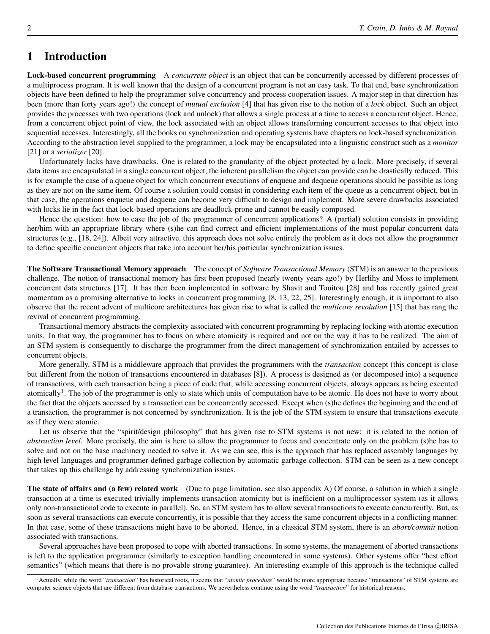## 1 Introduction

Lock-based concurrent programming A *concurrent object* is an object that can be concurrently accessed by different processes of a multiprocess program. It is well known that the design of a concurrent program is not an easy task. To that end, base synchronization objects have been defined to help the programmer solve concurrency and process cooperation issues. A major step in that direction has been (more than forty years ago!) the concept of *mutual exclusion* [4] that has given rise to the notion of a *lock* object. Such an object provides the processes with two operations (lock and unlock) that allows a single process at a time to access a concurrent object. Hence, from a concurrent object point of view, the lock associated with an object allows transforming concurrent accesses to that object into sequential accesses. Interestingly, all the books on synchronization and operating systems have chapters on lock-based synchronization. According to the abstraction level supplied to the programmer, a lock may be encapsulated into a linguistic construct such as a *monitor* [21] or a *serializer* [20].

Unfortunately locks have drawbacks. One is related to the granularity of the object protected by a lock. More precisely, if several data items are encapsulated in a single concurrent object, the inherent parallelism the object can provide can be drastically reduced. This is for example the case of a queue object for which concurrent executions of enqueue and dequeue operations should be possible as long as they are not on the same item. Of course a solution could consist in considering each item of the queue as a concurrent object, but in that case, the operations enqueue and dequeue can become very difficult to design and implement. More severe drawbacks associated with locks lie in the fact that lock-based operations are deadlock-prone and cannot be easily composed.

Hence the question: how to ease the job of the programmer of concurrent applications? A (partial) solution consists in providing her/him with an appropriate library where (s)he can find correct and efficient implementations of the most popular concurrent data structures (e.g., [18, 24]). Albeit very attractive, this approach does not solve entirely the problem as it does not allow the programmer to define specific concurrent objects that take into account her/his particular synchronization issues.

The Software Transactional Memory approach The concept of *Software Transactional Memory* (STM) is an answer to the previous challenge. The notion of transactional memory has first been proposed (nearly twenty years ago!) by Herlihy and Moss to implement concurrent data structures [17]. It has then been implemented in software by Shavit and Touitou [28] and has recently gained great momentum as a promising alternative to locks in concurrent programming [8, 13, 22, 25]. Interestingly enough, it is important to also observe that the recent advent of multicore architectures has given rise to what is called the *multicore revolution* [15] that has rang the revival of concurrent programming.

Transactional memory abstracts the complexity associated with concurrent programming by replacing locking with atomic execution units. In that way, the programmer has to focus on where atomicity is required and not on the way it has to be realized. The aim of an STM system is consequently to discharge the programmer from the direct management of synchronization entailed by accesses to concurrent objects.

More generally, STM is a middleware approach that provides the programmers with the *transaction* concept (this concept is close but different from the notion of transactions encountered in databases [8]). A process is designed as (or decomposed into) a sequence of transactions, with each transaction being a piece of code that, while accessing concurrent objects, always appears as being executed atomically<sup>1</sup>. The job of the programmer is only to state which units of computation have to be atomic. He does not have to worry about the fact that the objects accessed by a transaction can be concurrently accessed. Except when (s)he defines the beginning and the end of a transaction, the programmer is not concerned by synchronization. It is the job of the STM system to ensure that transactions execute as if they were atomic.

Let us observe that the "spirit/design philosophy" that has given rise to STM systems is not new: it is related to the notion of *abstraction level*. More precisely, the aim is here to allow the programmer to focus and concentrate only on the problem (s)he has to solve and not on the base machinery needed to solve it. As we can see, this is the approach that has replaced assembly languages by high level languages and programmer-defined garbage collection by automatic garbage collection. STM can be seen as a new concept that takes up this challenge by addressing synchronization issues.

The state of affairs and (a few) related work (Due to page limitation, see also appendix A) Of course, a solution in which a single transaction at a time is executed trivially implements transaction atomicity but is inefficient on a multiprocessor system (as it allows only non-transactional code to execute in parallel). So, an STM system has to allow several transactions to execute concurrently. But, as soon as several transactions can execute concurrently, it is possible that they access the same concurrent objects in a conflicting manner. In that case, some of these transactions might have to be aborted. Hence, in a classical STM system, there is an *abort/commit* notion associated with transactions.

Several approaches have been proposed to cope with aborted transactions. In some systems, the management of aborted transactions is left to the application programmer (similarly to exception handling encountered in some systems). Other systems offer "best effort semantics" (which means that there is no provable strong guarantee). An interesting example of this approach is the technique called

<sup>&</sup>lt;sup>1</sup> Actually, while the word "*transaction*" has historical roots, it seems that "*atomic procedure*" would be more appropriate because "transactions" of STM systems are computer science objects that are different from database transactions. We nevertheless continue using the word "*transaction*" for historical reasons.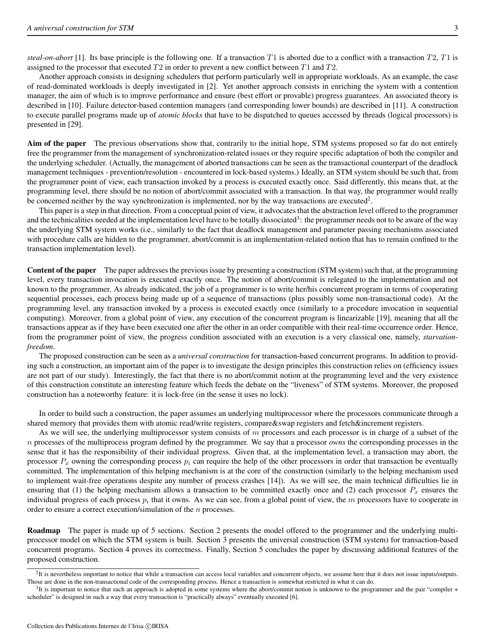*steal-on-abort* [1]. Its base principle is the following one. If a transaction T1 is aborted due to a conflict with a transaction T2, T1 is assigned to the processor that executed  $T2$  in order to prevent a new conflict between  $T1$  and  $T2$ .

Another approach consists in designing schedulers that perform particularly well in appropriate workloads. As an example, the case of read-dominated workloads is deeply investigated in [2]. Yet another approach consists in enriching the system with a contention manager, the aim of which is to improve performance and ensure (best effort or provable) progress guarantees. An associated theory is described in [10]. Failure detector-based contention managers (and corresponding lower bounds) are described in [11]. A construction to execute parallel programs made up of *atomic blocks* that have to be dispatched to queues accessed by threads (logical processors) is presented in [29].

Aim of the paper The previous observations show that, contrarily to the initial hope, STM systems proposed so far do not entirely free the programmer from the management of synchronization-related issues or they require specific adaptation of both the compiler and the underlying scheduler. (Actually, the management of aborted transactions can be seen as the transactional counterpart of the deadlock management techniques - prevention/resolution - encountered in lock-based systems.) Ideally, an STM system should be such that, from the programmer point of view, each transaction invoked by a process is executed exactly once. Said differently, this means that, at the programming level, there should be no notion of abort/commit associated with a transaction. In that way, the programmer would really be concerned neither by the way synchronization is implemented, nor by the way transactions are executed<sup>2</sup>.

This paper is a step in that direction. From a conceptual point of view, it advocates that the abstraction level offered to the programmer and the technicalities needed at the implementation level have to be totally dissociated<sup>3</sup>: the programmer needs not to be aware of the way the underlying STM system works (i.e., similarly to the fact that deadlock management and parameter passing mechanisms associated with procedure calls are hidden to the programmer, abort/commit is an implementation-related notion that has to remain confined to the transaction implementation level).

Content of the paper The paper addresses the previous issue by presenting a construction (STM system) such that, at the programming level, every transaction invocation is executed exactly once. The notion of abort/commit is relegated to the implementation and not known to the programmer. As already indicated, the job of a programmer is to write her/his concurrent program in terms of cooperating sequential processes, each process being made up of a sequence of transactions (plus possibly some non-transactional code). At the programming level, any transaction invoked by a process is executed exactly once (similarly to a procedure invocation in sequential computing). Moreover, from a global point of view, any execution of the concurrent program is linearizable [19], meaning that all the transactions appear as if they have been executed one after the other in an order compatible with their real-time occurrence order. Hence, from the programmer point of view, the progress condition associated with an execution is a very classical one, namely, *starvationfreedom*.

The proposed construction can be seen as a *universal construction* for transaction-based concurrent programs. In addition to providing such a construction, an important aim of the paper is to investigate the design principles this construction relies on (efficiency issues are not part of our study). Interestingly, the fact that there is no abort/commit notion at the programming level and the very existence of this construction constitute an interesting feature which feeds the debate on the "liveness" of STM systems. Moreover, the proposed construction has a noteworthy feature: it is lock-free (in the sense it uses no lock).

In order to build such a construction, the paper assumes an underlying multiprocessor where the processors communicate through a shared memory that provides them with atomic read/write registers, compare&swap registers and fetch&increment registers.

As we will see, the underlying multiprocessor system consists of  $m$  processors and each processor is in charge of a subset of the n processes of the multiprocess program defined by the programmer. We say that a processor *owns* the corresponding processes in the sense that it has the responsibility of their individual progress. Given that, at the implementation level, a transaction may abort, the processor  $P_x$  owning the corresponding process  $p_i$  can require the help of the other processors in order that transaction be eventually committed. The implementation of this helping mechanism is at the core of the construction (similarly to the helping mechanism used to implement wait-free operations despite any number of process crashes [14]). As we will see, the main technical difficulties lie in ensuring that (1) the helping mechanism allows a transaction to be committed exactly once and (2) each processor  $P_x$  ensures the individual progress of each process  $p_i$  that it owns. As we can see, from a global point of view, the m processors have to cooperate in order to ensure a correct execution/simulation of the n processes.

Roadmap The paper is made up of 5 sections. Section 2 presents the model offered to the programmer and the underlying multiprocessor model on which the STM system is built. Section 3 presents the universal construction (STM system) for transaction-based concurrent programs. Section 4 proves its correctness. Finally, Section 5 concludes the paper by discussing additional features of the proposed construction.

 ${}^{2}$ It is nevertheless important to notice that while a transaction can access local variables and concurrent objects, we assume here that it does not issue inputs/outputs. Those are done in the non-transactional code of the corresponding process. Hence a transaction is somewhat restricted in what it can do.

 ${}^{3}$ It is important to notice that such an approach is adopted in some systems where the abort/commit notion is unknown to the programmer and the pair "compiler + scheduler" is designed in such a way that every transaction is "practically always" eventually executed [6].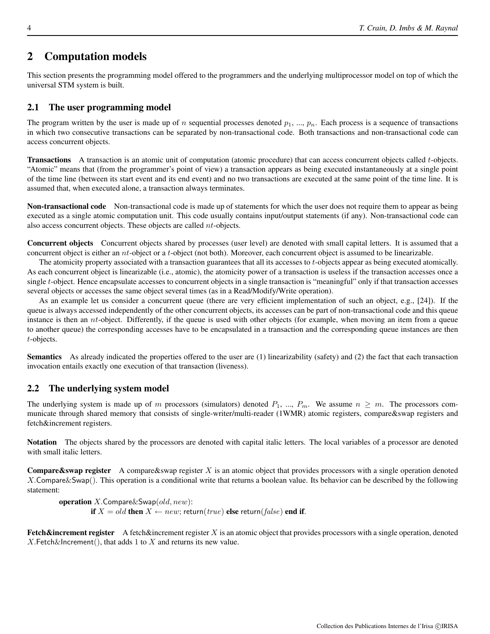## 2 Computation models

This section presents the programming model offered to the programmers and the underlying multiprocessor model on top of which the universal STM system is built.

### 2.1 The user programming model

The program written by the user is made up of n sequential processes denoted  $p_1, ..., p_n$ . Each process is a sequence of transactions in which two consecutive transactions can be separated by non-transactional code. Both transactions and non-transactional code can access concurrent objects.

Transactions A transaction is an atomic unit of computation (atomic procedure) that can access concurrent objects called t-objects. "Atomic" means that (from the programmer's point of view) a transaction appears as being executed instantaneously at a single point of the time line (between its start event and its end event) and no two transactions are executed at the same point of the time line. It is assumed that, when executed alone, a transaction always terminates.

Non-transactional code Non-transactional code is made up of statements for which the user does not require them to appear as being executed as a single atomic computation unit. This code usually contains input/output statements (if any). Non-transactional code can also access concurrent objects. These objects are called nt-objects.

Concurrent objects Concurrent objects shared by processes (user level) are denoted with small capital letters. It is assumed that a concurrent object is either an *nt*-object or a *t*-object (not both). Moreover, each concurrent object is assumed to be linearizable.

The atomicity property associated with a transaction guarantees that all its accesses to *t*-objects appear as being executed atomically. As each concurrent object is linearizable (i.e., atomic), the atomicity power of a transaction is useless if the transaction accesses once a single t-object. Hence encapsulate accesses to concurrent objects in a single transaction is "meaningful" only if that transaction accesses several objects or accesses the same object several times (as in a Read/Modify/Write operation).

As an example let us consider a concurrent queue (there are very efficient implementation of such an object, e.g., [24]). If the queue is always accessed independently of the other concurrent objects, its accesses can be part of non-transactional code and this queue instance is then an  $nt$ -object. Differently, if the queue is used with other objects (for example, when moving an item from a queue to another queue) the corresponding accesses have to be encapsulated in a transaction and the corresponding queue instances are then t-objects.

Semantics As already indicated the properties offered to the user are (1) linearizability (safety) and (2) the fact that each transaction invocation entails exactly one execution of that transaction (liveness).

### 2.2 The underlying system model

The underlying system is made up of m processors (simulators) denoted  $P_1$ , ...,  $P_m$ . We assume  $n \geq m$ . The processors communicate through shared memory that consists of single-writer/multi-reader (1WMR) atomic registers, compare&swap registers and fetch&increment registers.

Notation The objects shared by the processors are denoted with capital italic letters. The local variables of a processor are denoted with small italic letters.

**Compare&swap register** A compare&swap register X is an atomic object that provides processors with a single operation denoted X.Compare $\&$ Swap(). This operation is a conditional write that returns a boolean value. Its behavior can be described by the following statement:

```
operation X. Compare & Swap(old, new):
         if X = old then X \leftarrow new; return(true) else return(false) end if.
```
Fetch & increment register A fetch & increment register X is an atomic object that provides processors with a single operation, denoted  $X$ .Fetch&Increment(), that adds 1 to  $X$  and returns its new value.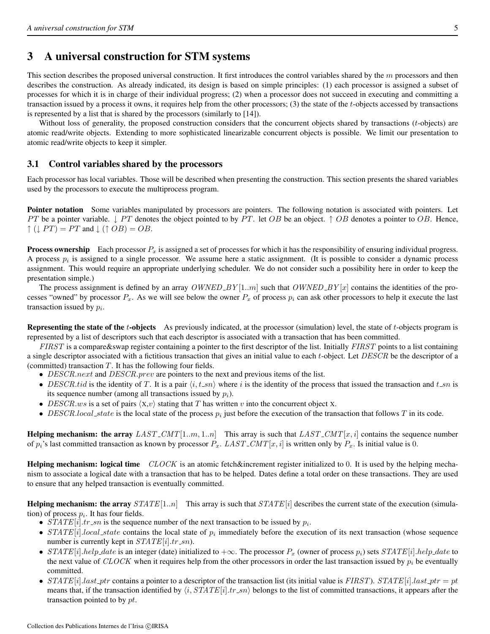### 3 A universal construction for STM systems

This section describes the proposed universal construction. It first introduces the control variables shared by the  $m$  processors and then describes the construction. As already indicated, its design is based on simple principles: (1) each processor is assigned a subset of processes for which it is in charge of their individual progress; (2) when a processor does not succeed in executing and committing a transaction issued by a process it owns, it requires help from the other processors; (3) the state of the t-objects accessed by transactions is represented by a list that is shared by the processors (similarly to [14]).

Without loss of generality, the proposed construction considers that the concurrent objects shared by transactions  $(t$ -objects) are atomic read/write objects. Extending to more sophisticated linearizable concurrent objects is possible. We limit our presentation to atomic read/write objects to keep it simpler.

#### 3.1 Control variables shared by the processors

Each processor has local variables. Those will be described when presenting the construction. This section presents the shared variables used by the processors to execute the multiprocess program.

Pointer notation Some variables manipulated by processors are pointers. The following notation is associated with pointers. Let PT be a pointer variable.  $\downarrow$  PT denotes the object pointed to by PT. let OB be an object.  $\uparrow$  OB denotes a pointer to OB. Hence,  $\uparrow (\downarrow PT) = PT$  and  $\downarrow (\uparrow OB) = OB$ .

**Process ownership** Each processor  $P_x$  is assigned a set of processes for which it has the responsibility of ensuring individual progress. A process  $p_i$  is assigned to a single processor. We assume here a static assignment. (It is possible to consider a dynamic process assignment. This would require an appropriate underlying scheduler. We do not consider such a possibility here in order to keep the presentation simple.)

The process assignment is defined by an array  $OWNED$  BY  $[1..m]$  such that  $OWNED$  BY  $[x]$  contains the identities of the processes "owned" by processor  $P_x$ . As we will see below the owner  $P_x$  of process  $p_i$  can ask other processors to help it execute the last transaction issued by  $p_i$ .

Representing the state of the t-objects As previously indicated, at the processor (simulation) level, the state of t-objects program is represented by a list of descriptors such that each descriptor is associated with a transaction that has been committed.

FIRST is a compare&swap register containing a pointer to the first descriptor of the list. Initially FIRST points to a list containing a single descriptor associated with a fictitious transaction that gives an initial value to each  $t$ -object. Let  $DESCR$  be the descriptor of a (committed) transaction  $T$ . It has the following four fields.

- DESCR.next and DESCR.prev are pointers to the next and previous items of the list.
- DESCR, tid is the identity of T. It is a pair  $\langle i, t \rangle$  where i is the identity of the process that issued the transaction and  $t \rangle$  is its sequence number (among all transactions issued by  $p_i$ ).
- DESCR ws is a set of pairs  $\langle x, v \rangle$  stating that T has written v into the concurrent object X.
- DESCR.local\_state is the local state of the process  $p_i$  just before the execution of the transaction that follows T in its code.

**Helping mechanism: the array** LAST\_CMT[1..m, 1..n] This array is such that LAST\_CMT[x, i] contains the sequence number of  $p_i$ 's last committed transaction as known by processor  $P_x$ . LAST\_CMT[x, i] is written only by  $P_x$ . Is initial value is 0.

**Helping mechanism: logical time** CLOCK is an atomic fetch&increment register initialized to 0. It is used by the helping mechanism to associate a logical date with a transaction that has to be helped. Dates define a total order on these transactions. They are used to ensure that any helped transaction is eventually committed.

**Helping mechanism: the array**  $STATE[1..n]$  This array is such that  $STATE[i]$  describes the current state of the execution (simulation) of process  $p_i$ . It has four fields.

- $STATE[i].tr\_sn$  is the sequence number of the next transaction to be issued by  $p_i$ .
- $STATE[i].local\_state$  contains the local state of  $p_i$  immediately before the execution of its next transaction (whose sequence number is currently kept in  $STATE[i].tr\_sn$ .
- STATE[i].help\_date is an integer (date) initialized to  $+\infty$ . The processor  $P_x$  (owner of process  $p_i$ ) sets STATE[i].help\_date to the next value of CLOCK when it requires help from the other processors in order the last transaction issued by  $p_i$  be eventually committed.
- $STATE[i].last\_ptr$  contains a pointer to a descriptor of the transaction list (its initial value is  $FIRST$ ).  $STATE[i].last\_ptr = pt$ means that, if the transaction identified by  $\langle i, STATE[i].tr\_sn \rangle$  belongs to the list of committed transactions, it appears after the transaction pointed to by pt.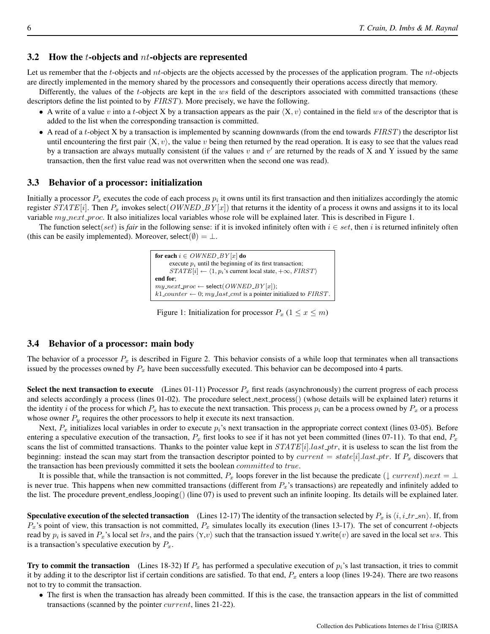#### 3.2 How the *t*-objects and  $nt$ -objects are represented

Let us remember that the t-objects and nt-objects are the objects accessed by the processes of the application program. The  $nt$ -objects are directly implemented in the memory shared by the processors and consequently their operations access directly that memory.

Differently, the values of the  $t$ -objects are kept in the  $ws$  field of the descriptors associated with committed transactions (these descriptors define the list pointed to by FIRST). More precisely, we have the following.

- A write of a value v into a t-object X by a transaction appears as the pair  $\langle X, v \rangle$  contained in the field ws of the descriptor that is added to the list when the corresponding transaction is committed.
- A read of a t-object X by a transaction is implemented by scanning downwards (from the end towards  $FIRST/INST$ ) the descriptor list until encountering the first pair  $\langle X, v \rangle$ , the value v being then returned by the read operation. It is easy to see that the values read by a transaction are always mutually consistent (if the values  $v$  and  $v'$  are returned by the reads of X and Y issued by the same transaction, then the first value read was not overwritten when the second one was read).

#### 3.3 Behavior of a processor: initialization

Initially a processor  $P_x$  executes the code of each process  $p_i$  it owns until its first transaction and then initializes accordingly the atomic register  $STATE[i]$ . Then  $P_x$  invokes select( $OWNED_BY[x]$ ) that returns it the identity of a process it owns and assigns it to its local variable  $my.next\_proc$ . It also initializes local variables whose role will be explained later. This is described in Figure 1.

The function select(set) is *fair* in the following sense: if it is invoked infinitely often with  $i \in set$ , then i is returned infinitely often (this can be easily implemented). Moreover, select( $\emptyset$ ) =  $\bot$ .

```
for each i \in \textit{OWNED\_BY}[x] do
      execute p_i until the beginning of its first transaction;
      STATE[i] \leftarrow \langle 1, p_i's current local state, +\infty, FIRSTend for;
my.next\_proc \leftarrow select(OWNED\_BY[x]);k1<sub>counter</sub> \leftarrow 0; my last_cmt is a pointer initialized to FIRST.
```
Figure 1: Initialization for processor  $P_x$  ( $1 \le x \le m$ )

#### 3.4 Behavior of a processor: main body

The behavior of a processor  $P_x$  is described in Figure 2. This behavior consists of a while loop that terminates when all transactions issued by the processes owned by  $P_x$  have been successfully executed. This behavior can be decomposed into 4 parts.

Select the next transaction to execute (Lines 01-11) Processor  $P_x$  first reads (asynchronously) the current progress of each process and selects accordingly a process (lines 01-02). The procedure select next process() (whose details will be explained later) returns it the identity i of the process for which  $P_x$  has to execute the next transaction. This process  $p_i$  can be a process owned by  $P_x$  or a process whose owner  $P_y$  requires the other processors to help it execute its next transaction.

Next,  $P_x$  initializes local variables in order to execute  $p_i$ 's next transaction in the appropriate correct context (lines 03-05). Before entering a speculative execution of the transaction,  $P_x$  first looks to see if it has not yet been committed (lines 07-11). To that end,  $P_x$ scans the list of committed transactions. Thanks to the pointer value kept in  $STATE[i].last\_ptr$ , it is useless to scan the list from the beginning: instead the scan may start from the transaction descriptor pointed to by *current* = state[i].last\_ptr. If  $P_x$  discovers that the transaction has been previously committed it sets the boolean *committed* to true.

It is possible that, while the transaction is not committed,  $P_x$  loops forever in the list because the predicate ( $\downarrow current$ ).next =  $\perp$ is never true. This happens when new committed transactions (different from  $P<sub>x</sub>$ 's transactions) are repeatedly and infinitely added to the list. The procedure prevent endless looping() (line 07) is used to prevent such an infinite looping. Its details will be explained later.

**Speculative execution of the selected transaction** (Lines 12-17) The identity of the transaction selected by  $P_x$  is  $\langle i, i\_tr\_sn \rangle$ . If, from  $P_x$ 's point of view, this transaction is not committed,  $P_x$  simulates locally its execution (lines 13-17). The set of concurrent t-objects read by  $p_i$  is saved in  $P_x$ 's local set lrs, and the pairs  $\langle Y, v \rangle$  such that the transaction issued Y.write(v) are saved in the local set ws. This is a transaction's speculative execution by  $P_x$ .

Try to commit the transaction (Lines 18-32) If  $P_x$  has performed a speculative execution of  $p_i$ 's last transaction, it tries to commit it by adding it to the descriptor list if certain conditions are satisfied. To that end,  $P_x$  enters a loop (lines 19-24). There are two reasons not to try to commit the transaction.

• The first is when the transaction has already been committed. If this is the case, the transaction appears in the list of committed transactions (scanned by the pointer current, lines 21-22).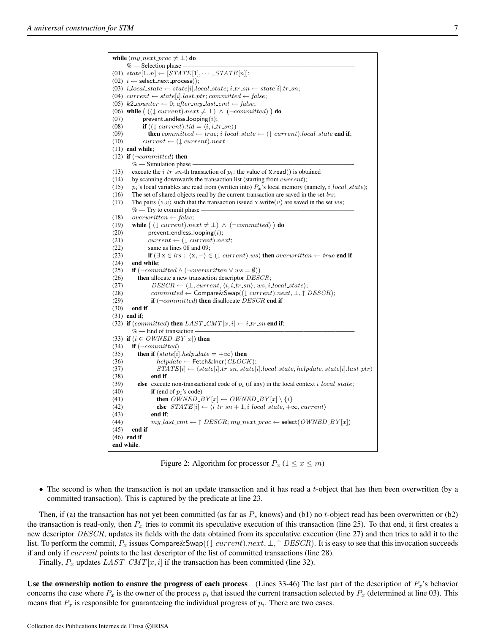while  $(my.next\_proc \neq \bot)$  do  $% -$  Selection phase (01)  $state[1..n] \leftarrow [STATE[1], \cdots, STATE[n]];$  $(02)$  *i* ← select\_next\_process(); (03)  $i\_local\_state \leftarrow state[i].local\_state; i\_tr\_sn \leftarrow state[i].tr\_sn;$ (04)  $current \leftarrow state[i].last\_ptr; committed \leftarrow false;$ (05)  $k2 \text{counter} \leftarrow 0$ ; after my last cmt  $\leftarrow$  false; (06) while  $\left( \begin{array}{c} (\downarrow current).next \neq \bot \end{array} \right) \wedge (\neg committed)$  ) do (07) prevent\_endless\_looping(*i*);<br>(08) **if** (( $\downarrow$  *current*).*tid* =  $\langle i, i_t t \rangle$ if  $((\downarrow current).tid = \langle i, i\_tr\_sn \rangle)$ (09) then committed  $\leftarrow true$ ; i\_local\_state  $\leftarrow$  ( $\downarrow current$ ).local\_state end if; (10) current  $\leftarrow$  ( $\downarrow$  current).next (11) end while; (12) if  $(\neg committed)$  then  $% -$  Simulation phase (13) execute the *i\_tr\_sn*-th transaction of  $p_i$ : the value of X.read() is obtained (14) by scanning downwards the transaction list (starting from *current*): by scanning downwards the transaction list (starting from *current*); (15)  $p_i$ 's local variables are read from (written into)  $P_x$ 's local memory (namely, *i* local state); (16) The set of shared objects read by the current transaction are saved in the set  $lrs$ ; (17) The pairs  $\langle Y, v \rangle$  such that the transaction issued Y.write(v) are saved in the set ws;  $% -$  Try to commit phase (18) overwritten  $\leftarrow$  false; (19) while  $( \downarrow current) . next \neq \bot ) \land (\neg committed) )$  do (20) prevent\_endless\_looping $(i)$ ; (21) current  $\leftarrow$  ( $\downarrow$  current).next; (22) same as lines 08 and 09; (23) if  $(\exists x \in \text{lrs} : \langle x, -\rangle \in (\downarrow current).ws)$  then overwritten ← true end if (24) end while; (25) if  $(\neg committed \land (\neg overwritten \lor ws = \emptyset))$ (26) then allocate a new transaction descriptor *DESCR*;<br>(27)  $DESCR \leftarrow \langle \perp, current, \langle i, i\_tr\_sn \rangle, ws, i.$  $DESCR \leftarrow \langle \perp, current, \langle i, i\_tr\_sn \rangle, ws, i\_local\_state \rangle;$ (28) committed ← Compare&Swap(( $\downarrow current$ ).next,  $\perp$ ,  $\uparrow$  DESCR); (29) if  $(\neg committed)$  then disallocate DESCR end if (30) end if (31) end if; (32) if (committed) then LAST\_CMT[x, i]  $\leftarrow$  i\_tr\_sn end if;  $% -$  End of transaction -(33) if  $(i \in OWNED$ <sub>-B</sub> $Y[x]$ ) then  $(34)$  if  $(\neg committed)$ (35) then if  $(state[i].help\_date = +\infty)$  then (36)  $\text{helpdate} \leftarrow \text{Fetch\&Incr}(CLOCK);$ (37)  $STATE[i] \leftarrow \langle state[i].tr\_sn, state[i].local\_state, helpdate, state[i].last\_ptr \rangle$ (38) end if (39) else execute non-transactional code of  $p_i$  (if any) in the local context *i*-local state; (40) if (end of  $p_i$ 's code)<br>(41) then  $OWNED_{-l}$ then  $OWNED\_BY[x] \leftarrow OWNED\_BY[x] \setminus \{i\}$ (42) **else**  $STATE[i] \leftarrow \langle i\_tr\_sn + 1, i\_local\_state, +\infty, current \rangle$ (43) end if; (44)  $my\_last\_cnt \leftarrow \uparrow DESCR; my\_next\_proc \leftarrow select(OWNED\_BY[x])$ (45) end if (46) end if end while.

Figure 2: Algorithm for processor  $P_x$  ( $1 \le x \le m$ )

• The second is when the transaction is not an update transaction and it has read a t-object that has then been overwritten (by a committed transaction). This is captured by the predicate at line 23.

Then, if (a) the transaction has not yet been committed (as far as  $P_x$  knows) and (b1) no t-object read has been overwritten or (b2) the transaction is read-only, then  $P_x$  tries to commit its speculative execution of this transaction (line 25). To that end, it first creates a new descriptor DESCR, updates its fields with the data obtained from its speculative execution (line 27) and then tries to add it to the list. To perform the commit,  $P_x$  issues Compare&Swap(( $\downarrow current$ ).next,  $\perp$ ,  $\uparrow$  DESCR). It is easy to see that this invocation succeeds if and only if current points to the last descriptor of the list of committed transactions (line 28).

Finally,  $P_x$  updates  $LIST\_CMT[x, i]$  if the transaction has been committed (line 32).

Use the ownership notion to ensure the progress of each process (Lines 33-46) The last part of the description of  $P_x$ 's behavior concerns the case where  $P_x$  is the owner of the process  $p_i$  that issued the current transaction selected by  $P_x$  (determined at line 03). This means that  $P_x$  is responsible for guaranteeing the individual progress of  $p_i$ . There are two cases.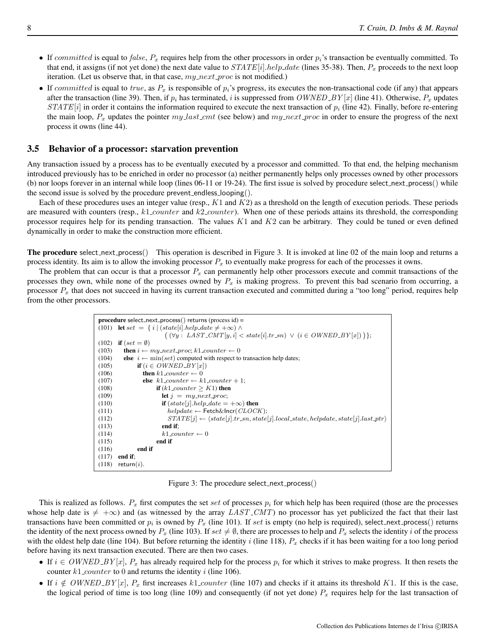- If committed is equal to false,  $P_x$  requires help from the other processors in order  $p_i$ 's transaction be eventually committed. To that end, it assigns (if not yet done) the next date value to  $STATE[i].help\_date$  (lines 35-38). Then,  $P_x$  proceeds to the next loop iteration. (Let us observe that, in that case,  $my\_next\_proc$  is not modified.)
- If committed is equal to true, as  $P_x$  is responsible of  $p_i$ 's progress, its executes the non-transactional code (if any) that appears after the transaction (line 39). Then, if  $p_i$  has terminated, i is suppressed from OWNED BY [x] (line 41). Otherwise,  $P_x$  updates  $STATE[i]$  in order it contains the information required to execute the next transaction of  $p_i$  (line 42). Finally, before re-entering the main loop,  $P_x$  updates the pointer  $my\text{-}last\text{-}cnt$  (see below) and  $my\text{-}next\text{-}proc$  in order to ensure the progress of the next process it owns (line 44).

#### 3.5 Behavior of a processor: starvation prevention

Any transaction issued by a process has to be eventually executed by a processor and committed. To that end, the helping mechanism introduced previously has to be enriched in order no processor (a) neither permanently helps only processes owned by other processors (b) nor loops forever in an internal while loop (lines 06-11 or 19-24). The first issue is solved by procedure select\_next\_process() while the second issue is solved by the procedure prevent\_endless\_ $looping()$ .

Each of these procedures uses an integer value (resp.,  $K1$  and  $K2$ ) as a threshold on the length of execution periods. These periods are measured with counters (resp.,  $k1$  *counter* and  $k2$  *counter*). When one of these periods attains its threshold, the corresponding processor requires help for its pending transaction. The values  $K1$  and  $K2$  can be arbitrary. They could be tuned or even defined dynamically in order to make the construction more efficient.

**The procedure** select next process() This operation is described in Figure 3. It is invoked at line 02 of the main loop and returns a process identity. Its aim is to allow the invoking processor  $P_x$  to eventually make progress for each of the processes it owns.

The problem that can occur is that a processor  $P_x$  can permanently help other processors execute and commit transactions of the processes they own, while none of the processes owned by  $P_x$  is making progress. To prevent this bad scenario from occurring, a processor  $P_x$  that does not succeed in having its current transaction executed and committed during a "too long" period, requires help from the other processors.

| <b>procedure</b> select_next_process() returns (process id) = |                                                                                                             |  |
|---------------------------------------------------------------|-------------------------------------------------------------------------------------------------------------|--|
|                                                               | (101) let set $= \{ i   (state[i].help\_date \neq +\infty) \land  \}$                                       |  |
|                                                               | $((\forall y: LAST\_CMT[y, i] < state[i].tr\_sn) \lor (i \in OWNED\_BY[x]))$ ;                              |  |
| (102)                                                         | if $(set = \emptyset)$                                                                                      |  |
| (103)                                                         | <b>then</b> $i \leftarrow my\_next\_proc; k1\_counter \leftarrow 0$                                         |  |
| (104)                                                         | else $i \leftarrow \min(set)$ computed with respect to transaction help dates;                              |  |
| (105)                                                         | <b>if</b> $(i \in OWNED\_BY[x])$                                                                            |  |
| (106)                                                         | <b>then</b> $k1$ -counter $\leftarrow 0$                                                                    |  |
| (107)                                                         | else $k1$ -counter $\leftarrow k1$ -counter $+1$ :                                                          |  |
| (108)                                                         | if $(k1$ <sub>counter</sub> $> K1$ ) then                                                                   |  |
| (109)                                                         | <b>let</b> $j = my\_next\_proc$ ;                                                                           |  |
| (110)                                                         | <b>if</b> $(state[j].help\_date = +\infty)$ then                                                            |  |
| (111)                                                         | $helpdate \leftarrow \textsf{Fetch\&Incr}(CLOCK);$                                                          |  |
| (112)                                                         | $STATE[j] \leftarrow \langle state[j].tr\_sn, state[j].local\_state, help date, state[j].last\_ptr \rangle$ |  |
| (113)                                                         | end if:                                                                                                     |  |
| (114)                                                         | $k1$ <sub>counter</sub> $\leftarrow 0$                                                                      |  |
| (115)                                                         | end if                                                                                                      |  |
| (116)                                                         | end if                                                                                                      |  |
| (117)                                                         | end if:                                                                                                     |  |
| (118)                                                         | return $(i)$ .                                                                                              |  |

Figure 3: The procedure select\_next\_process()

This is realized as follows.  $P_x$  first computes the set set of processes  $p_i$  for which help has been required (those are the processes whose help date is  $\neq +\infty$ ) and (as witnessed by the array LAST CMT) no processor has yet publicized the fact that their last transactions have been committed or  $p_i$  is owned by  $P_x$  (line 101). If set is empty (no help is required), select\_next\_process() returns the identity of the next process owned by  $P_x$  (line 103). If set  $\neq \emptyset$ , there are processes to help and  $P_x$  selects the identity i of the process with the oldest help date (line 104). But before returning the identity i (line 118),  $P_x$  checks if it has been waiting for a too long period before having its next transaction executed. There are then two cases.

- If  $i \in OWNED\_BY[x]$ ,  $P_x$  has already required help for the process  $p_i$  for which it strives to make progress. It then resets the counter  $k1$  *counter* to 0 and returns the identity i (line 106).
- If  $i \notin OWNED\_BY[x]$ ,  $P_x$  first increases k1 *counter* (line 107) and checks if it attains its threshold K1. If this is the case, the logical period of time is too long (line 109) and consequently (if not yet done)  $P_x$  requires help for the last transaction of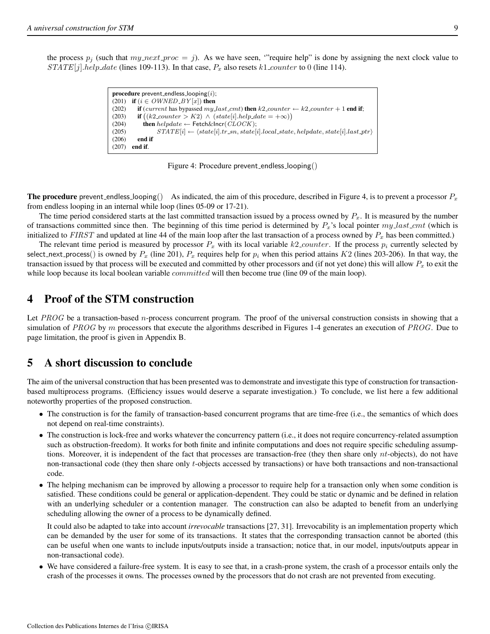the process  $p_j$  (such that  $my\_next\_proc = j$ ). As we have seen, "require help" is done by assigning the next clock value to  $STATE[j].help\_date$  (lines 109-113). In that case,  $P_x$  also resets k1 *counter* to 0 (line 114).

|       | <b>procedure</b> prevent_endless_looping $(i)$ ;<br>(201) if $(i \in OWNED\_BY[x])$ then                             |
|-------|----------------------------------------------------------------------------------------------------------------------|
| (202) | <b>if</b> (current has bypassed my_last_cmt) <b>then</b> $k2$ _counter $\leftarrow k2$ _counter $+1$ <b>end if</b> ; |
| (203) | <b>if</b> $((k2 \text{counter} > K2) \wedge (state[i].help\_date = +\infty))$                                        |
| (204) | <b>then</b> $helpdate \leftarrow \text{Fetch\&Incr}(CLOCK);$                                                         |
| (205) | $STATE[i] \leftarrow \langle state[i].tr\_sn, state[i].local\_state, helpdate, state[i].last\_ptr \rangle$           |
| (206) | end if                                                                                                               |
| (207) | end if.                                                                                                              |

Figure 4: Procedure prevent\_endless\_looping()

**The procedure** prevent endless looping() As indicated, the aim of this procedure, described in Figure 4, is to prevent a processor  $P_x$ from endless looping in an internal while loop (lines 05-09 or 17-21).

The time period considered starts at the last committed transaction issued by a process owned by  $P_x$ . It is measured by the number of transactions committed since then. The beginning of this time period is determined by  $P_x$ 's local pointer  $my\text{.last}$  (which is initialized to  $FIRST$  and updated at line 44 of the main loop after the last transaction of a process owned by  $P_x$  has been committed.)

The relevant time period is measured by processor  $P_x$  with its local variable  $k2$ -counter. If the process  $p_i$  currently selected by select\_next\_process() is owned by  $P_x$  (line 201),  $P_x$  requires help for  $p_i$  when this period attains K2 (lines 203-206). In that way, the transaction issued by that process will be executed and committed by other processors and (if not yet done) this will allow  $P_x$  to exit the while loop because its local boolean variable *committed* will then become true (line 09 of the main loop).

### 4 Proof of the STM construction

Let PROG be a transaction-based n-process concurrent program. The proof of the universal construction consists in showing that a simulation of PROG by m processors that execute the algorithms described in Figures 1-4 generates an execution of PROG. Due to page limitation, the proof is given in Appendix B.

## 5 A short discussion to conclude

The aim of the universal construction that has been presented was to demonstrate and investigate this type of construction for transactionbased multiprocess programs. (Efficiency issues would deserve a separate investigation.) To conclude, we list here a few additional noteworthy properties of the proposed construction.

- The construction is for the family of transaction-based concurrent programs that are time-free (i.e., the semantics of which does not depend on real-time constraints).
- The construction is lock-free and works whatever the concurrency pattern (i.e., it does not require concurrency-related assumption such as obstruction-freedom). It works for both finite and infinite computations and does not require specific scheduling assumptions. Moreover, it is independent of the fact that processes are transaction-free (they then share only  $nt$ -objects), do not have non-transactional code (they then share only t-objects accessed by transactions) or have both transactions and non-transactional code.
- The helping mechanism can be improved by allowing a processor to require help for a transaction only when some condition is satisfied. These conditions could be general or application-dependent. They could be static or dynamic and be defined in relation with an underlying scheduler or a contention manager. The construction can also be adapted to benefit from an underlying scheduling allowing the owner of a process to be dynamically defined.

It could also be adapted to take into account *irrevocable* transactions [27, 31]. Irrevocability is an implementation property which can be demanded by the user for some of its transactions. It states that the corresponding transaction cannot be aborted (this can be useful when one wants to include inputs/outputs inside a transaction; notice that, in our model, inputs/outputs appear in non-transactional code).

• We have considered a failure-free system. It is easy to see that, in a crash-prone system, the crash of a processor entails only the crash of the processes it owns. The processes owned by the processors that do not crash are not prevented from executing.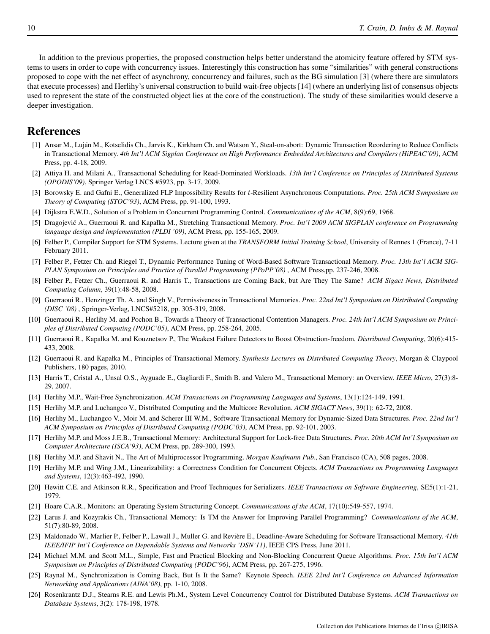In addition to the previous properties, the proposed construction helps better understand the atomicity feature offered by STM systems to users in order to cope with concurrency issues. Interestingly this construction has some "similarities" with general constructions proposed to cope with the net effect of asynchrony, concurrency and failures, such as the BG simulation [3] (where there are simulators that execute processes) and Herlihy's universal construction to build wait-free objects [14] (where an underlying list of consensus objects used to represent the state of the constructed object lies at the core of the construction). The study of these similarities would deserve a deeper investigation.

## **References**

- [1] Ansar M., Lujan M., Kotselidis Ch., Jarvis K., Kirkham Ch. and Watson Y., Steal-on-abort: Dynamic Transaction Reordering to Reduce Conflicts ´ in Transactional Memory. *4th Int'l ACM Sigplan Conference on High Performance Embedded Architectures and Compilers (HiPEAC'09)*, ACM Press, pp. 4-18, 2009.
- [2] Attiya H. and Milani A., Transactional Scheduling for Read-Dominated Workloads. *13th Int'l Conference on Principles of Distributed Systems (OPODIS'09)*, Springer Verlag LNCS #5923, pp. 3-17, 2009.
- [3] Borowsky E. and Gafni E., Generalized FLP Impossibility Results for t-Resilient Asynchronous Computations. *Proc. 25th ACM Symposium on Theory of Computing (STOC'93)*, ACM Press, pp. 91-100, 1993.
- [4] Dijkstra E.W.D., Solution of a Problem in Concurrent Programming Control. *Communications of the ACM*, 8(9):69, 1968.
- [5] Dragojević A., Guerraoui R. and Kapałka M., Stretching Transactional Memory. Proc. Int'l 2009 ACM SIGPLAN conference on Programming *language design and implementation (PLDI '09)*, ACM Press, pp. 155-165, 2009.
- [6] Felber P., Compiler Support for STM Systems. Lecture given at the *TRANSFORM Initial Training School*, University of Rennes 1 (France), 7-11 February 2011.
- [7] Felber P., Fetzer Ch. and Riegel T., Dynamic Performance Tuning of Word-Based Software Transactional Memory. *Proc. 13th Int'l ACM SIG-PLAN Symposium on Principles and Practice of Parallel Programming (PPoPP'08)* , ACM Press,pp. 237-246, 2008.
- [8] Felber P., Fetzer Ch., Guerraoui R. and Harris T., Transactions are Coming Back, but Are They The Same? *ACM Sigact News, Distributed Computing Column*, 39(1):48-58, 2008.
- [9] Guerraoui R., Henzinger Th. A. and Singh V., Permissiveness in Transactional Memories. *Proc. 22nd Int'l Symposium on Distributed Computing (DISC '08)* , Springer-Verlag, LNCS#5218, pp. 305-319, 2008.
- [10] Guerraoui R., Herlihy M. and Pochon B., Towards a Theory of Transactional Contention Managers. *Proc. 24th Int'l ACM Symposium on Principles of Distributed Computing (PODC'05)*, ACM Press, pp. 258-264, 2005.
- [11] Guerraoui R., Kapałka M. and Kouznetsov P., The Weakest Failure Detectors to Boost Obstruction-freedom. *Distributed Computing*, 20(6):415- 433, 2008.
- [12] Guerraoui R. and Kapałka M., Principles of Transactional Memory. *Synthesis Lectures on Distributed Computing Theory*, Morgan & Claypool Publishers, 180 pages, 2010.
- [13] Harris T., Cristal A., Unsal O.S., Ayguade E., Gagliardi F., Smith B. and Valero M., Transactional Memory: an Overview. *IEEE Micro*, 27(3):8- 29, 2007.
- [14] Herlihy M.P., Wait-Free Synchronization. *ACM Transactions on Programming Languages and Systems*, 13(1):124-149, 1991.
- [15] Herlihy M.P. and Luchangco V., Distributed Computing and the Multicore Revolution. *ACM SIGACT News*, 39(1): 62-72, 2008.
- [16] Herlihy M., Luchangco V., Moir M. and Scherer III W.M., Software Transactional Memory for Dynamic-Sized Data Structures. *Proc. 22nd Int'l ACM Symposium on Principles of Distributed Computing (PODC'03)*, ACM Press, pp. 92-101, 2003.
- [17] Herlihy M.P. and Moss J.E.B., Transactional Memory: Architectural Support for Lock-free Data Structures. *Proc. 20th ACM Int'l Symposium on Computer Architecture (ISCA'93)*, ACM Press, pp. 289-300, 1993.
- [18] Herlihy M.P. and Shavit N., The Art of Multiprocessor Programming. *Morgan Kaufmann Pub.*, San Francisco (CA), 508 pages, 2008.
- [19] Herlihy M.P. and Wing J.M., Linearizability: a Correctness Condition for Concurrent Objects. *ACM Transactions on Programming Languages and Systems*, 12(3):463-492, 1990.
- [20] Hewitt C.E. and Atkinson R.R., Specification and Proof Techniques for Serializers. *IEEE Transactions on Software Engineering*, SE5(1):1-21, 1979.
- [21] Hoare C.A.R., Monitors: an Operating System Structuring Concept. *Communications of the ACM*, 17(10):549-557, 1974.
- [22] Larus J. and Kozyrakis Ch., Transactional Memory: Is TM the Answer for Improving Parallel Programming? *Communications of the ACM*, 51(7):80-89, 2008.
- [23] Maldonado W., Marlier P., Felber P., Lawall J., Muller G. and Revière E., Deadline-Aware Scheduling for Software Transactional Memory. 41th *IEEE/IFIP Int'l Conference on Dependable Systems and Networks 'DSN'11)*, IEEE CPS Press, June 2011.
- [24] Michael M.M. and Scott M.L., Simple, Fast and Practical Blocking and Non-Blocking Concurrent Queue Algorithms. *Proc. 15th Int'l ACM Symposium on Principles of Distributed Computing (PODC'96)*, ACM Press, pp. 267-275, 1996.
- [25] Raynal M., Synchronization is Coming Back, But Is It the Same? Keynote Speech. *IEEE 22nd Int'l Conference on Advanced Information Networking and Applications (AINA'08)*, pp. 1-10, 2008.
- [26] Rosenkrantz D.J., Stearns R.E. and Lewis Ph.M., System Level Concurrency Control for Distributed Database Systems. *ACM Transactions on Database Systems*, 3(2): 178-198, 1978.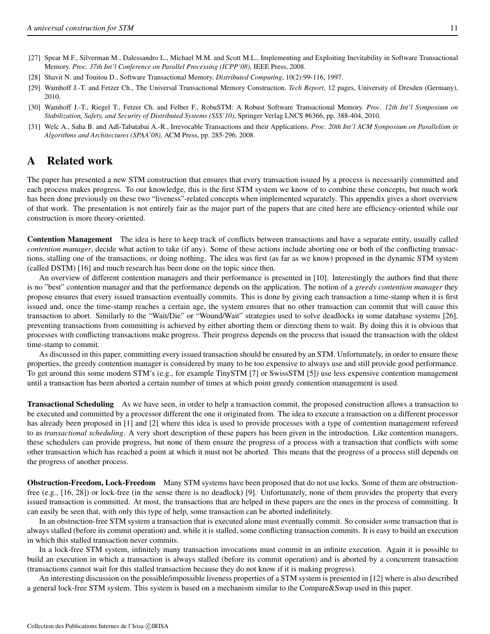- [27] Spear M.F., Silverman M., Dalessandro L., Michael M.M. and Scott M.L., Implementing and Exploiting Inevitability in Software Transactional Memory. *Proc. 37th Int'l Conference on Parallel Processing (ICPP'08)*, IEEE Press, 2008.
- [28] Shavit N. and Touitou D., Software Transactional Memory. *Distributed Computing*, 10(2):99-116, 1997.
- [29] Wamhoff J.-T. and Fetzer Ch., The Universal Transactional Memory Construction. *Tech Report*, 12 pages, University of Dresden (Germany), 2010.
- [30] Wamhoff J.-T., Riegel T., Fetzer Ch. and Felber F., RobuSTM: A Robust Software Transactional Memory. *Proc. 12th Int'l Symposium on Stabilization, Safety, and Security of Distributed Systems (SSS'10)*, Springer Verlag LNCS #6366, pp. 388-404, 2010.
- [31] Welc A., Saha B. and Adl-Tabatabai A.-R., Irrevocable Transactions and their Applications. *Proc. 20th Int'l ACM Symposium on Parallelism in Algorithms and Architectures (SPAA'08)*, ACM Press, pp. 285-296, 2008.

## A Related work

The paper has presented a new STM construction that ensures that every transaction issued by a process is necessarily committed and each process makes progress. To our knowledge, this is the first STM system we know of to combine these concepts, but much work has been done previously on these two "liveness"-related concepts when implemented separately. This appendix gives a short overview of that work. The presentation is not entirely fair as the major part of the papers that are cited here are efficiency-oriented while our construction is more theory-oriented.

Contention Management The idea is here to keep track of conflicts between transactions and have a separate entity, usually called *contention manager*, decide what action to take (if any). Some of these actions include aborting one or both of the conflicting transactions, stalling one of the transactions, or doing nothing. The idea was first (as far as we know) proposed in the dynamic STM system (called DSTM) [16] and much research has been done on the topic since then.

An overview of different contention managers and their performance is presented in [10]. Interestingly the authors find that there is no "best" contention manager and that the performance depends on the application. The notion of a *greedy contention manager* they propose ensures that every issued transaction eventually commits. This is done by giving each transaction a time-stamp when it is first issued and, once the time-stamp reaches a certain age, the system ensures that no other transaction can commit that will cause this transaction to abort. Similarly to the "Wait/Die" or "Wound/Wait" strategies used to solve deadlocks in some database systems [26], preventing transactions from committing is achieved by either aborting them or directing them to wait. By doing this it is obvious that processes with conflicting transactions make progress. Their progress depends on the process that issued the transaction with the oldest time-stamp to commit.

As discussed in this paper, committing every issued transaction should be ensured by an STM. Unfortunately, in order to ensure these properties, the greedy contention manager is considered by many to be too expensive to always use and still provide good performance. To get around this some modern STM's (e.g., for example TinySTM [7] or SwissSTM [5]) use less expensive contention management until a transaction has been aborted a certain number of times at which point greedy contention management is used.

Transactional Scheduling As we have seen, in order to help a transaction commit, the proposed construction allows a transaction to be executed and committed by a processor different the one it originated from. The idea to execute a transaction on a different processor has already been proposed in [1] and [2] where this idea is used to provide processes with a type of contention management refereed to as *transactional scheduling*. A very short description of these papers has been given in the introduction. Like contention managers, these schedulers can provide progress, but none of them ensure the progress of a process with a transaction that conflicts with some other transaction which has reached a point at which it must not be aborted. This means that the progress of a process still depends on the progress of another process.

Obstruction-Freedom, Lock-Freedom Many STM systems have been proposed that do not use locks. Some of them are obstructionfree (e.g., [16, 28]) or lock-free (in the sense there is no deadlock) [9]. Unfortunately, none of them provides the property that every issued transaction is committed. At most, the transactions that are helped in these papers are the ones in the process of committing. It can easily be seen that, with only this type of help, some transaction can be aborted indefinitely.

In an obstruction-free STM system a transaction that is executed alone must eventually commit. So consider some transaction that is always stalled (before its commit operation) and, while it is stalled, some conflicting transaction commits. It is easy to build an execution in which this stalled transaction never commits.

In a lock-free STM system, infinitely many transaction invocations must commit in an infinite execution. Again it is possible to build an execution in which a transaction is always stalled (before its commit operation) and is aborted by a concurrent transaction (transactions cannot wait for this stalled transaction because they do not know if it is making progress).

An interesting discussion on the possible/impossible liveness properties of a STM system is presented in [12] where is also described a general lock-free STM system. This system is based on a mechanism similar to the Compare&Swap used in this paper.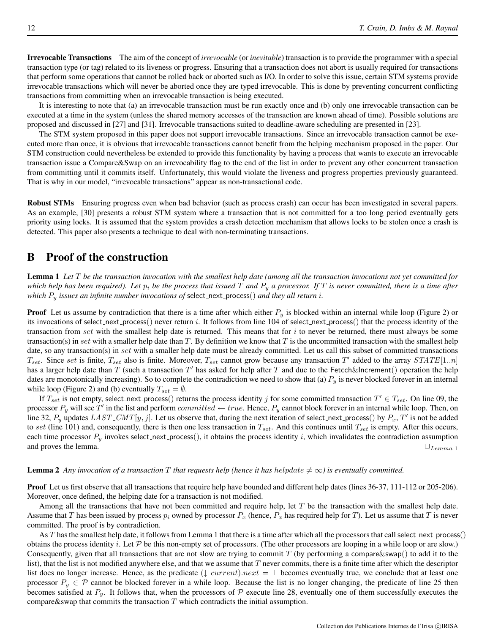Irrevocable Transactions The aim of the concept of *irrevocable* (or *inevitable*) transaction is to provide the programmer with a special transaction type (or tag) related to its liveness or progress. Ensuring that a transaction does not abort is usually required for transactions that perform some operations that cannot be rolled back or aborted such as I/O. In order to solve this issue, certain STM systems provide irrevocable transactions which will never be aborted once they are typed irrevocable. This is done by preventing concurrent conflicting transactions from committing when an irrevocable transaction is being executed.

It is interesting to note that (a) an irrevocable transaction must be run exactly once and (b) only one irrevocable transaction can be executed at a time in the system (unless the shared memory accesses of the transaction are known ahead of time). Possible solutions are proposed and discussed in [27] and [31]. Irrevocable transactions suited to deadline-aware scheduling are presented in [23].

The STM system proposed in this paper does not support irrevocable transactions. Since an irrevocable transaction cannot be executed more than once, it is obvious that irrevocable transactions cannot benefit from the helping mechanism proposed in the paper. Our STM construction could nevertheless be extended to provide this functionality by having a process that wants to execute an irrevocable transaction issue a Compare&Swap on an irrevocability flag to the end of the list in order to prevent any other concurrent transaction from committing until it commits itself. Unfortunately, this would violate the liveness and progress properties previously guaranteed. That is why in our model, "irrevocable transactions" appear as non-transactional code.

Robust STMs Ensuring progress even when bad behavior (such as process crash) can occur has been investigated in several papers. As an example, [30] presents a robust STM system where a transaction that is not committed for a too long period eventually gets priority using locks. It is assumed that the system provides a crash detection mechanism that allows locks to be stolen once a crash is detected. This paper also presents a technique to deal with non-terminating transactions.

### B Proof of the construction

Lemma 1 *Let* T *be the transaction invocation with the smallest help date (among all the transaction invocations not yet committed for which help has been required). Let*  $p_i$  *be the process that issued* T *and*  $P_y$  *a processor. If* T *is never committed, there is a time after which* P<sup>y</sup> *issues an infinite number invocations of* select next process() *and they all return* i*.*

**Proof** Let us assume by contradiction that there is a time after which either  $P_y$  is blocked within an internal while loop (Figure 2) or its invocations of select\_next\_process() never return  $i$ . It follows from line 104 of select\_next\_process() that the process identity of the transaction from set with the smallest help date is returned. This means that for  $i$  to never be returned, there must always be some transaction(s) in set with a smaller help date than T. By definition we know that T is the uncommitted transaction with the smallest help date, so any transaction(s) in set with a smaller help date must be already committed. Let us call this subset of committed transactions  $T_{set}$ . Since set is finite,  $T_{set}$  also is finite. Moreover,  $T_{set}$  cannot grow because any transaction  $T'$  added to the array  $STATE[1..n]$ has a larger help date than T (such a transaction T' has asked for help after T and due to the Fetcch&Increment() operation the help dates are monotonically increasing). So to complete the contradiction we need to show that (a)  $P_y$  is never blocked forever in an internal while loop (Figure 2) and (b) eventually  $T_{set} = \emptyset$ .

If  $T_{set}$  is not empty, select\_next\_process() returns the process identity j for some committed transaction  $T' \in T_{set}$ . On line 09, the processor  $P_y$  will see T' in the list and perform  $committed \leftarrow true$ . Hence,  $P_y$  cannot block forever in an internal while loop. Then, on line 32,  $P_y$  updates  $LIST\_CMT[y, j]$ . Let us observe that, during the next iteration of select\_next\_process() by  $P_x$ , T' is not be added to set (line 101) and, consequently, there is then one less transaction in  $T_{set}$ . And this continues until  $T_{set}$  is empty. After this occurs, each time processor  $P_y$  invokes select next process(), it obtains the process identity i, which invalidates the contradiction assumption and proves the lemma.  $\Box_{Lemma \, 1}$ 

#### **Lemma 2** Any invocation of a transaction T that requests help (hence it has helpdate  $\neq \infty$ ) is eventually committed.

Proof Let us first observe that all transactions that require help have bounded and different help dates (lines 36-37, 111-112 or 205-206). Moreover, once defined, the helping date for a transaction is not modified.

Among all the transactions that have not been committed and require help, let  $T$  be the transaction with the smallest help date. Assume that T has been issued by process  $p_i$  owned by processor  $P_x$  (hence,  $P_x$  has required help for T). Let us assume that T is never committed. The proof is by contradiction.

As  $T$  has the smallest help date, it follows from Lemma 1 that there is a time after which all the processors that call select next process() obtains the process identity i. Let  $P$  be this non-empty set of processors. (The other processors are looping in a while loop or are slow.) Consequently, given that all transactions that are not slow are trying to commit T (by performing a compare&swap() to add it to the list), that the list is not modified anywhere else, and that we assume that  $T$  never commits, there is a finite time after which the descriptor list does no longer increase. Hence, as the predicate ( $\downarrow current$ ).next =  $\perp$  becomes eventually true, we conclude that at least one processor  $P_y \in \mathcal{P}$  cannot be blocked forever in a while loop. Because the list is no longer changing, the predicate of line 25 then becomes satisfied at  $P_y$ . It follows that, when the processors of  $P$  execute line 28, eventually one of them successfully executes the compare&swap that commits the transaction  $T$  which contradicts the initial assumption.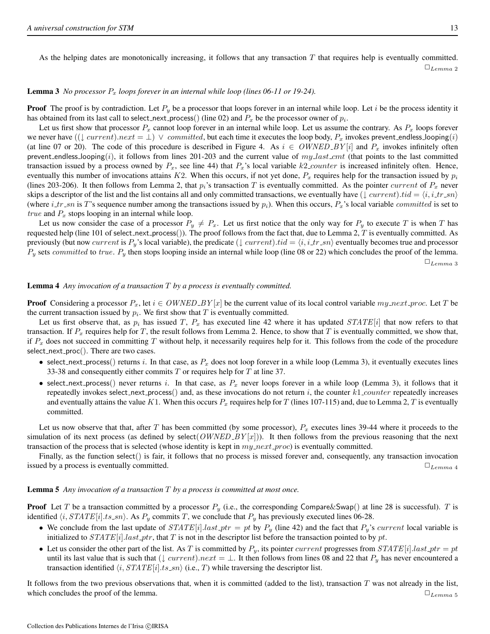As the helping dates are monotonically increasing, it follows that any transaction  $T$  that requires help is eventually committed.

 $\square_{Lemma\ 2}$ 

#### **Lemma 3** *No processor*  $P_x$  *loops forever in an internal while loop (lines 06-11 or 19-24).*

**Proof** The proof is by contradiction. Let  $P_y$  be a processor that loops forever in an internal while loop. Let i be the process identity it has obtained from its last call to select\_next\_process() (line 02) and  $P_x$  be the processor owner of  $p_i.$ 

Let us first show that processor  $P_x$  cannot loop forever in an internal while loop. Let us assume the contrary. As  $P_x$  loops forever we never have  $((\downarrow current).next = \perp) \vee committed$ , but each time it executes the loop body,  $P_x$  invokes prevent endless looping(i) (at line 07 or 20). The code of this procedure is described in Figure 4. As  $i \in OWNED\_BY[i]$  and  $P_x$  invokes infinitely often prevent endless looping(i), it follows from lines 201-203 and the current value of  $my-last$  (that points to the last committed transaction issued by a process owned by  $P_x$ , see line 44) that  $P_x$ 's local variable k2 *counter* is increased infinitely often. Hence, eventually this number of invocations attains K2. When this occurs, if not yet done,  $P_x$  requires help for the transaction issued by  $p_i$ (lines 203-206). It then follows from Lemma 2, that  $p_i$ 's transaction T is eventually committed. As the pointer *current* of  $P_x$  never skips a descriptor of the list and the list contains all and only committed transactions, we eventually have  $(\downarrow current).tid = \langle i, i \text{...} \rangle$ (where i\_tr\_sn is T's sequence number among the transactions issued by  $p_i$ ). When this occurs,  $P_x$ 's local variable *committed* is set to *true* and  $P_x$  stops looping in an internal while loop.

Let us now consider the case of a processor  $P_y \neq P_x$ . Let us first notice that the only way for  $P_y$  to execute T is when T has requested help (line 101 of select next process()). The proof follows from the fact that, due to Lemma 2,  $T$  is eventually committed. As previously (but now *current* is  $P_y$ 's local variable), the predicate ( $\downarrow current$ ).tid =  $\langle i, i$  tr sn) eventually becomes true and processor  $P_y$  sets *committed* to *true.*  $P_y$  then stops looping inside an internal while loop (line 08 or 22) which concludes the proof of the lemma.

 $\square_{Lemma\ 3}$ 

#### Lemma 4 *Any invocation of a transaction* T *by a process is eventually committed.*

**Proof** Considering a processor  $P_x$ , let  $i \in OWNED$  BY [x] be the current value of its local control variable  $my$  next proc. Let T be the current transaction issued by  $p_i$ . We first show that T is eventually committed.

Let us first observe that, as  $p_i$  has issued T,  $P_x$  has executed line 42 where it has updated  $STATE[i]$  that now refers to that transaction. If  $P_x$  requires help for T, the result follows from Lemma 2. Hence, to show that T is eventually committed, we show that, if  $P_x$  does not succeed in committing T without help, it necessarily requires help for it. This follows from the code of the procedure select\_next\_proc(). There are two cases.

- select\_next\_process() returns i. In that case, as  $P_x$  does not loop forever in a while loop (Lemma 3), it eventually executes lines 33-38 and consequently either commits  $T$  or requires help for  $T$  at line 37.
- select\_next\_process() never returns i. In that case, as  $P_x$  never loops forever in a while loop (Lemma 3), it follows that it repeatedly invokes select\_next\_process() and, as these invocations do not return i, the counter  $k1$ \_counter repeatedly increases and eventually attains the value K1. When this occurs  $P_x$  requires help for T (lines 107-115) and, due to Lemma 2, T is eventually committed.

Let us now observe that that, after T has been committed (by some processor),  $P_x$  executes lines 39-44 where it proceeds to the simulation of its next process (as defined by select( $OWNED_BY[x]$ )). It then follows from the previous reasoning that the next transaction of the process that is selected (whose identity is kept in  $my.next\_proc$ ) is eventually committed.

Finally, as the function select() is fair, it follows that no process is missed forever and, consequently, any transaction invocation issued by a process is eventually committed. ✷Lemma <sup>4</sup>

#### Lemma 5 *Any invocation of a transaction* T *by a process is committed at most once.*

**Proof** Let T be a transaction committed by a processor  $P_y$  (i.e., the corresponding Compare&Swap() at line 28 is successful). T is identified  $\langle i, STATE[i].ts\_sn\rangle$ . As  $P_y$  commits T, we conclude that  $P_y$  has previously executed lines 06-28.

- We conclude from the last update of  $STATE[i].last\_ptr = pt$  by  $P_y$  (line 42) and the fact that  $P_y$ 's current local variable is initialized to  $STATE[i].last\_ptr$ , that T is not in the descriptor list before the transaction pointed to by pt.
- Let us consider the other part of the list. As T is committed by  $P_y$ , its pointer *current* progresses from  $STATE[i].last\_ptr = pt$ until its last value that is such that  $(↓ current).next = ⊥$ . It then follows from lines 08 and 22 that  $P_y$  has never encountered a transaction identified  $\langle i, STATE[i].ts\_sn \rangle$  (i.e., T) while traversing the descriptor list.

It follows from the two previous observations that, when it is committed (added to the list), transaction  $T$  was not already in the list, which concludes the proof of the lemma.  $\Box$   $L_{tempa}$  5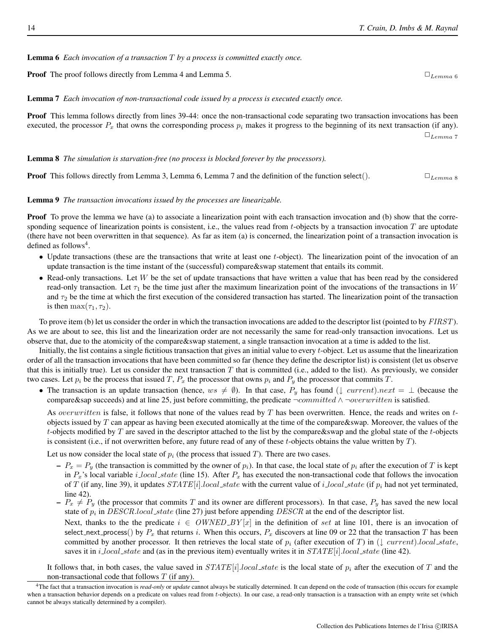Lemma 6 *Each invocation of a transaction* T *by a process is committed exactly once.*

Proof The proof follows directly from Lemma 4 and Lemma 5. ✷Lemma <sup>6</sup>

Lemma 7 *Each invocation of non-transactional code issued by a process is executed exactly once.*

Proof This lemma follows directly from lines 39-44: once the non-transactional code separating two transaction invocations has been executed, the processor  $P_x$  that owns the corresponding process  $p_i$  makes it progress to the beginning of its next transaction (if any).  $\Box$ <sub>Lemma</sub> 7

Lemma 8 *The simulation is starvation-free (no process is blocked forever by the processors).*

**Proof** This follows directly from Lemma 3, Lemma 6, Lemma 7 and the definition of the function select().  $\square_{Lemma \& S}$ 

Lemma 9 *The transaction invocations issued by the processes are linearizable.*

**Proof** To prove the lemma we have (a) to associate a linearization point with each transaction invocation and (b) show that the corresponding sequence of linearization points is consistent, i.e., the values read from  $t$ -objects by a transaction invocation  $T$  are uptodate (there have not been overwritten in that sequence). As far as item (a) is concerned, the linearization point of a transaction invocation is defined as follows<sup>4</sup>.

- Update transactions (these are the transactions that write at least one  $t$ -object). The linearization point of the invocation of an update transaction is the time instant of the (successful) compare&swap statement that entails its commit.
- Read-only transactions. Let  $W$  be the set of update transactions that have written a value that has been read by the considered read-only transaction. Let  $\tau_1$  be the time just after the maximum linearization point of the invocations of the transactions in W and  $\tau_2$  be the time at which the first execution of the considered transaction has started. The linearization point of the transaction is then  $\max(\tau_1, \tau_2)$ .

To prove item (b) let us consider the order in which the transaction invocations are added to the descriptor list (pointed to by FIRST). As we are about to see, this list and the linearization order are not necessarily the same for read-only transaction invocations. Let us observe that, due to the atomicity of the compare&swap statement, a single transaction invocation at a time is added to the list.

Initially, the list contains a single fictitious transaction that gives an initial value to every t-object. Let us assume that the linearization order of all the transaction invocations that have been committed so far (hence they define the descriptor list) is consistent (let us observe that this is initially true). Let us consider the next transaction  $T$  that is committed (i.e., added to the list). As previously, we consider two cases. Let  $p_i$  be the process that issued T,  $P_x$  the processor that owns  $p_i$  and  $P_y$  the processor that commits T.

• The transaction is an update transaction (hence,  $ws \neq \emptyset$ ). In that case,  $P_y$  has found ( $\downarrow current$ ).next =  $\perp$  (because the compare&sap succeeds) and at line 25, just before committing, the predicate  $\neg committed \land \neg overwritten$  is satisfied.

As overwritten is false, it follows that none of the values read by  $T$  has been overwritten. Hence, the reads and writes on  $t$ objects issued by  $T$  can appear as having been executed atomically at the time of the compare&swap. Moreover, the values of the t-objects modified by T are saved in the descriptor attached to the list by the compare&swap and the global state of the t-objects is consistent (i.e., if not overwritten before, any future read of any of these  $t$ -objects obtains the value written by  $T$ ).

Let us now consider the local state of  $p_i$  (the process that issued T). There are two cases.

- $P_x = P_y$  (the transaction is committed by the owner of  $p_i$ ). In that case, the local state of  $p_i$  after the execution of T is kept in  $P_x$ 's local variable *i local state* (line 15). After  $P_x$  has executed the non-transactional code that follows the invocation of T (if any, line 39), it updates  $STATE[i].local\_state$  with the current value of  $i\_local\_state$  (if  $p_i$  had not yet terminated, line 42).
- $-P_x \neq P_y$  (the processor that commits T and its owner are different processors). In that case,  $P_y$  has saved the new local state of  $p_i$  in  $DESCR. local\_state$  (line 27) just before appending  $DESCR$  at the end of the descriptor list.
- Next, thanks to the the predicate  $i \in \text{OWNED}$  BY [x] in the definition of set at line 101, there is an invocation of select\_next\_process() by  $P_x$  that returns i. When this occurs,  $P_x$  discovers at line 09 or 22 that the transaction T has been committed by another processor. It then retrieves the local state of  $p_i$  (after execution of T) in ( $\downarrow$  current).local\_state, saves it in  $i\_local\_state$  and (as in the previous item) eventually writes it in  $STATE[i].local\_state$  (line 42).

It follows that, in both cases, the value saved in  $STATE[i].local\_state$  is the local state of  $p_i$  after the execution of T and the non-transactional code that follows  $T$  (if any).

<sup>4</sup>The fact that a transaction invocation is *read-only* or *update* cannot always be statically determined. It can depend on the code of transaction (this occurs for example when a transaction behavior depends on a predicate on values read from  $t$ -objects). In our case, a read-only transaction is a transaction with an empty write set (which cannot be always statically determined by a compiler).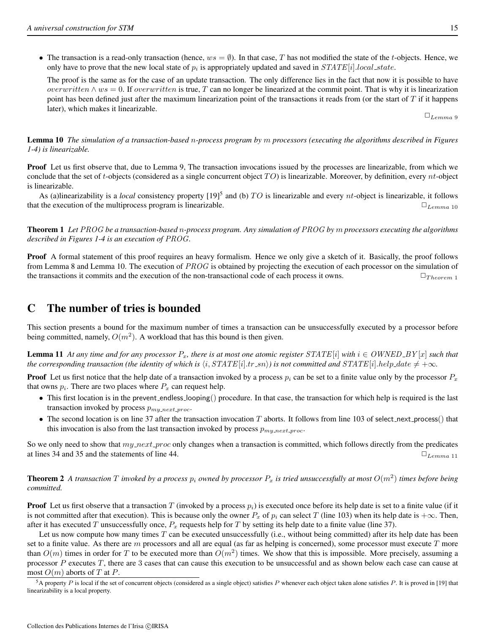The proof is the same as for the case of an update transaction. The only difference lies in the fact that now it is possible to have overwritten  $\wedge$  ws = 0. If overwritten is true, T can no longer be linearized at the commit point. That is why it is linearization point has been defined just after the maximum linearization point of the transactions it reads from (or the start of  $T$  if it happens later), which makes it linearizable.

 $\Box$ <sub>Lemma</sub> 9

Lemma 10 *The simulation of a transaction-based* n*-process program by* m *processors (executing the algorithms described in Figures 1-4) is linearizable.*

Proof Let us first observe that, due to Lemma 9, The transaction invocations issued by the processes are linearizable, from which we conclude that the set of t-objects (considered as a single concurrent object  $TO$ ) is linearizable. Moreover, by definition, every nt-object is linearizable.

As (a)linearizability is a *local* consistency property [19]<sup>5</sup> and (b) TO is linearizable and every nt-object is linearizable, it follows that the execution of the multiprocess program is linearizable. ✷Lemma <sup>10</sup>

Theorem 1 *Let* PROG *be a transaction-based* n*-process program. Any simulation of* PROG *by* m *processors executing the algorithms described in Figures 1-4 is an execution of* PROG*.*

Proof A formal statement of this proof requires an heavy formalism. Hence we only give a sketch of it. Basically, the proof follows from Lemma 8 and Lemma 10. The execution of PROG is obtained by projecting the execution of each processor on the simulation of the transactions it commits and the execution of the non-transactional code of each process it owns.  $\Box_{Theorem 1}$ 

## C The number of tries is bounded

This section presents a bound for the maximum number of times a transaction can be unsuccessfully executed by a processor before being committed, namely,  $O(m^2)$ . A workload that has this bound is then given.

**Lemma 11** At any time and for any processor  $P_x$ , there is at most one atomic register  $STATE[i]$  with  $i \in OWNED$  BY  $[x]$  such that *the corresponding transaction (the identity of which is*  $\langle i, STATE[i].tr\_sn \rangle$ ) is not committed and STATE[i].help\_date  $\neq +\infty$ .

**Proof** Let us first notice that the help date of a transaction invoked by a process  $p_i$  can be set to a finite value only by the processor  $P_x$ that owns  $p_i$ . There are two places where  $P_x$  can request help.

- This first location is in the prevent\_endless\_looping() procedure. In that case, the transaction for which help is required is the last transaction invoked by process  $p_{my.next\_proc}$ .
- The second location is on line 37 after the transaction invocation  $T$  aborts. It follows from line 103 of select\_next\_process() that this invocation is also from the last transaction invoked by process  $p_{my\_next\_proc}$ .

So we only need to show that  $my.next\_proc$  only changes when a transaction is committed, which follows directly from the predicates at lines 34 and 35 and the statements of line 44.  $\Box$ 

**Theorem 2** A transaction T invoked by a process  $p_i$  owned by processor  $P_x$  is tried unsuccessfully at most  $O(m^2)$  times before being *committed.*

**Proof** Let us first observe that a transaction T (invoked by a process  $p_i$ ) is executed once before its help date is set to a finite value (if it is not committed after that execution). This is because only the owner  $P_x$  of  $p_i$  can select T (line 103) when its help date is + $\infty$ . Then, after it has executed T unsuccessfully once,  $P_x$  requests help for T by setting its help date to a finite value (line 37).

Let us now compute how many times  $T$  can be executed unsuccessfully (i.e., without being committed) after its help date has been set to a finite value. As there are  $m$  processors and all are equal (as far as helping is concerned), some processor must execute  $T$  more than  $O(m)$  times in order for T to be executed more than  $O(m^2)$  times. We show that this is impossible. More precisely, assuming a processor  $P$  executes  $T$ , there are 3 cases that can cause this execution to be unsuccessful and as shown below each case can cause at most  $O(m)$  aborts of T at P.

<sup>&</sup>lt;sup>5</sup>A property P is local if the set of concurrent objects (considered as a single object) satisfies P whenever each object taken alone satisfies P. It is proved in [19] that linearizability is a local property.